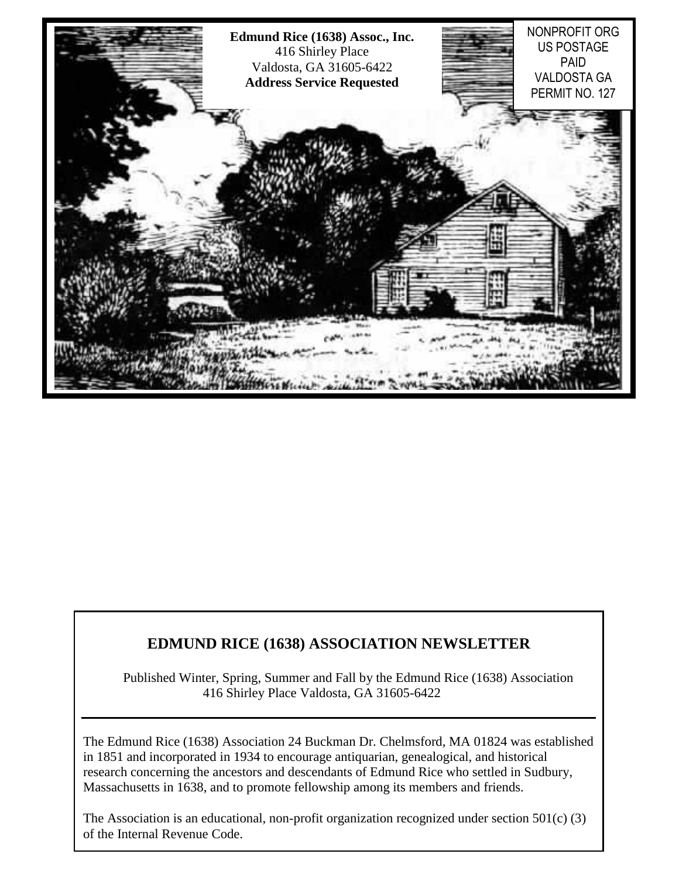

## **EDMUND RICE (1638) ASSOCIATION NEWSLETTER**

Published Winter, Spring, Summer and Fall by the Edmund Rice (1638) Association 416 Shirley Place Valdosta, GA 31605-6422

The Edmund Rice (1638) Association 24 Buckman Dr. Chelmsford, MA 01824 was established in 1851 and incorporated in 1934 to encourage antiquarian, genealogical, and historical research concerning the ancestors and descendants of Edmund Rice who settled in Sudbury, Massachusetts in 1638, and to promote fellowship among its members and friends.

of the Internal Revenue Code. The Association is an educational, non-profit organization recognized under section  $501(c)$  (3)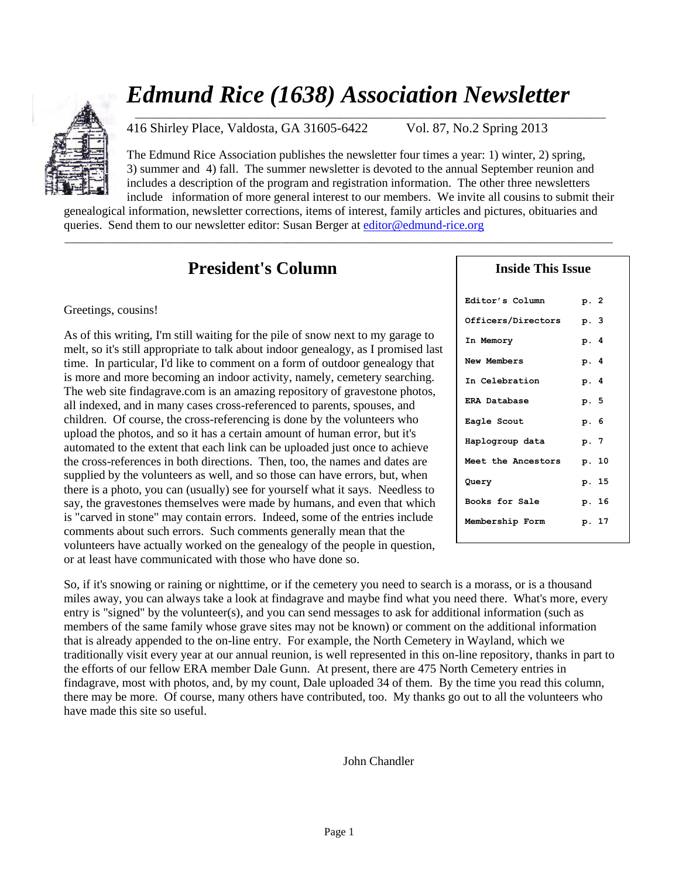# *Edmund Rice (1638) Association Newsletter* \_\_\_\_\_\_\_\_\_\_\_\_\_\_\_\_\_\_\_\_\_\_\_\_\_\_\_\_\_\_\_\_\_\_\_\_\_\_\_\_\_\_\_\_\_\_\_\_\_\_\_\_\_\_\_\_\_\_\_\_\_\_\_\_\_\_\_\_\_\_\_\_\_\_\_\_\_\_\_\_\_\_\_\_\_



416 Shirley Place, Valdosta, GA 31605-6422 Vol. 87, No.2 Spring 2013

The Edmund Rice Association publishes the newsletter four times a year: 1) winter, 2) spring, 3) summer and 4) fall. The summer newsletter is devoted to the annual September reunion and includes a description of the program and registration information. The other three newsletters include information of more general interest to our members. We invite all cousins to submit their

genealogical information, newsletter corrections, items of interest, family articles and pictures, obituaries and queries. Send them to our newsletter editor: Susan Berger a[t editor@edmund-rice.org](mailto:editor@edmund-rice.org)

 $\_$  ,  $\_$  ,  $\_$  ,  $\_$  ,  $\_$  ,  $\_$  ,  $\_$  ,  $\_$  ,  $\_$  ,  $\_$  ,  $\_$  ,  $\_$  ,  $\_$  ,  $\_$  ,  $\_$  ,  $\_$  ,  $\_$  ,  $\_$  ,  $\_$  ,  $\_$  ,  $\_$  ,  $\_$  ,  $\_$  ,  $\_$  ,  $\_$  ,  $\_$  ,  $\_$  ,  $\_$  ,  $\_$  ,  $\_$  ,  $\_$  ,  $\_$  ,  $\_$  ,  $\_$  ,  $\_$  ,  $\_$  ,  $\_$  ,

# **President's Column**

#### Greetings, cousins!

As of this writing, I'm still waiting for the pile of snow next to my garage to melt, so it's still appropriate to talk about indoor genealogy, as I promised last time. In particular, I'd like to comment on a form of outdoor genealogy that is more and more becoming an indoor activity, namely, cemetery searching. The web site findagrave.com is an amazing repository of gravestone photos, all indexed, and in many cases cross-referenced to parents, spouses, and children. Of course, the cross-referencing is done by the volunteers who upload the photos, and so it has a certain amount of human error, but it's automated to the extent that each link can be uploaded just once to achieve the cross-references in both directions. Then, too, the names and dates are supplied by the volunteers as well, and so those can have errors, but, when there is a photo, you can (usually) see for yourself what it says. Needless to say, the gravestones themselves were made by humans, and even that which is "carved in stone" may contain errors. Indeed, some of the entries include comments about such errors. Such comments generally mean that the volunteers have actually worked on the genealogy of the people in question, or at least have communicated with those who have done so.

| Inside This Issue   |      |       |
|---------------------|------|-------|
| Editor's Column     | p. 2 |       |
| Officers/Directors  | р. 3 |       |
| In Memory           | p. 4 |       |
| New Members         | p. 4 |       |
| In Celebration      | p. 4 |       |
| <b>ERA Database</b> | p. 5 |       |
| Eagle Scout         | р. 6 |       |
| Haplogroup data     | p. 7 |       |
| Meet the Ancestors  |      | p. 10 |
| Query               |      | p. 15 |
| Books for Sale      |      | p. 16 |
| Membership Form     |      | p. 17 |

So, if it's snowing or raining or nighttime, or if the cemetery you need to search is a morass, or is a thousand miles away, you can always take a look at findagrave and maybe find what you need there. What's more, every entry is "signed" by the volunteer(s), and you can send messages to ask for additional information (such as members of the same family whose grave sites may not be known) or comment on the additional information that is already appended to the on-line entry. For example, the North Cemetery in Wayland, which we traditionally visit every year at our annual reunion, is well represented in this on-line repository, thanks in part to the efforts of our fellow ERA member Dale Gunn. At present, there are 475 North Cemetery entries in findagrave, most with photos, and, by my count, Dale uploaded 34 of them. By the time you read this column, there may be more. Of course, many others have contributed, too. My thanks go out to all the volunteers who have made this site so useful.

John Chandler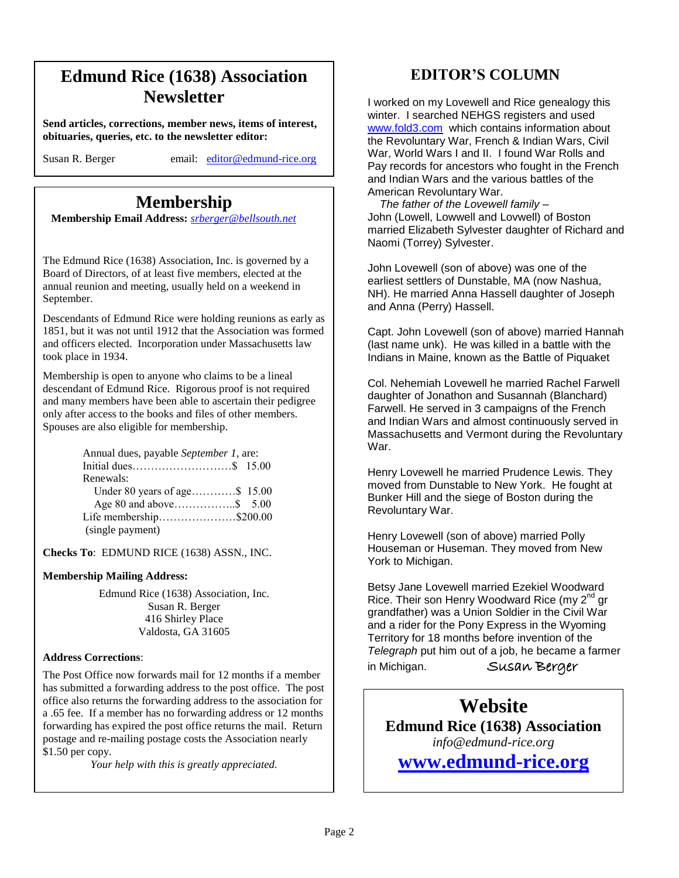# **Edmund Rice (1638) Association Newsletter**

**Send articles, corrections, member news, items of interest, obituaries, queries, etc. to the newsletter editor:**

Susan R. Berger email: [editor@edmund-rice.org](mailto:editor@edmund-rice.org)

# **Membership**

 **Membership Email Address:** *[srberger@bellsouth.net](mailto:srberger@bellsouth.net)*

The Edmund Rice (1638) Association, Inc. is governed by a Board of Directors, of at least five members, elected at the annual reunion and meeting, usually held on a weekend in September.

Descendants of Edmund Rice were holding reunions as early as 1851, but it was not until 1912 that the Association was formed and officers elected. Incorporation under Massachusetts law took place in 1934.

Membership is open to anyone who claims to be a lineal descendant of Edmund Rice. Rigorous proof is not required and many members have been able to ascertain their pedigree only after access to the books and files of other members. Spouses are also eligible for membership.

| Annual dues, payable September 1, are: |  |
|----------------------------------------|--|
|                                        |  |
| Renewals:                              |  |
| Under 80 years of age\$ 15.00          |  |
|                                        |  |
| Life membership\$200.00                |  |
| (single payment)                       |  |

**Checks To**: EDMUND RICE (1638) ASSN., INC.

#### **Membership Mailing Address:**

Edmund Rice (1638) Association, Inc. Susan R. Berger 416 Shirley Place Valdosta, GA 31605

#### **Address Corrections**:

The Post Office now forwards mail for 12 months if a member has submitted a forwarding address to the post office. The post office also returns the forwarding address to the association for a .65 fee. If a member has no forwarding address or 12 months forwarding has expired the post office returns the mail. Return postage and re-mailing postage costs the Association nearly \$1.50 per copy.

*Your help with this is greatly appreciated.*

## **EDITOR'S COLUMN**

I worked on my Lovewell and Rice genealogy this winter. I searched NEHGS registers and used [www.fold3.com](http://www.fold3.com/) which contains information about the Revoluntary War, French & Indian Wars, Civil War, World Wars I and II. I found War Rolls and Pay records for ancestors who fought in the French and Indian Wars and the various battles of the American Revoluntary War.

 *The father of the Lovewell family –* John (Lowell, Lowwell and Lovwell) of Boston married Elizabeth Sylvester daughter of Richard and Naomi (Torrey) Sylvester.

John Lovewell (son of above) was one of the earliest settlers of Dunstable, MA (now Nashua, NH). He married Anna Hassell daughter of Joseph and Anna (Perry) Hassell.

Capt. John Lovewell (son of above) married Hannah (last name unk). He was killed in a battle with the Indians in Maine, known as the Battle of Piquaket

Col. Nehemiah Lovewell he married Rachel Farwell daughter of Jonathon and Susannah (Blanchard) Farwell. He served in 3 campaigns of the French and Indian Wars and almost continuously served in Massachusetts and Vermont during the Revoluntary War.

Henry Lovewell he married Prudence Lewis. They moved from Dunstable to New York. He fought at Bunker Hill and the siege of Boston during the Revoluntary War.

Henry Lovewell (son of above) married Polly Houseman or Huseman. They moved from New York to Michigan.

Betsy Jane Lovewell married Ezekiel Woodward Rice. Their son Henry Woodward Rice (my 2<sup>nd</sup> gr grandfather) was a Union Soldier in the Civil War and a rider for the Pony Express in the Wyoming Territory for 18 months before invention of the *Telegraph* put him out of a job, he became a farmer in Michigan. Susan Berger

**Website Edmund Rice (1638) Association** *info@edmund-rice.org*

**[www.edmund-rice.org](http://www.edmund-rice.org/)**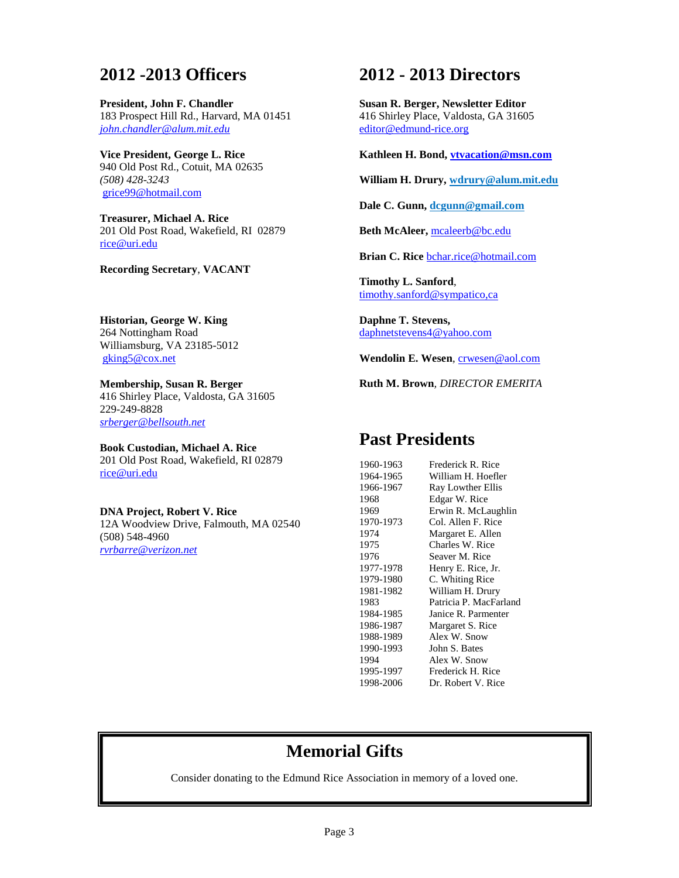# **2012 -2013 Officers**

**President, John F. Chandler** 183 Prospect Hill Rd., Harvard, MA 01451 *[john.chandler@alum.mit.edu](mailto:john.chandler@alum.mit.edu)* 

**Vice President, George L. Rice** 940 Old Post Rd., Cotuit, MA 02635 *(508) 428-3243* [grice99@hotmail.com](mailto:grice99@hotmail.com)

**Treasurer, Michael A. Rice** 201 Old Post Road, Wakefield, RI 02879 [rice@uri.edu](mailto:rice@uri.edu)

**Recording Secretary**, **VACANT**

**Historian, George W. King** 264 Nottingham Road Williamsburg, VA 23185-5012 [gking5@cox.net](mailto:gking5@cox.net)

**Membership, Susan R. Berger** 416 Shirley Place, Valdosta, GA 31605 229-249-8828 *[srberger@bellsouth.net](mailto:srberger@bellsouth.net)*

**Book Custodian, Michael A. Rice** 201 Old Post Road, Wakefield, RI 02879 [rice@uri.edu](mailto:rice@uri.edu)

**DNA Project, Robert V. Rice** 12A Woodview Drive, Falmouth, MA 02540 (508) 548-4960 *[rvrbarre@verizon.net](mailto:rvrbarre@verizon.net)*

**2012 - 2013 Directors**

**Susan R. Berger, Newsletter Editor** 416 Shirley Place, Valdosta, GA 31605 [editor@edmund-rice.org](mailto:editor@edmund-rice.org)

**Kathleen H. Bond, [vtvacation@msn.com](mailto:vtvacation@msn.com)**

**William H. Drury, [wdrury@alum.mit.edu](mailto:wdrury@alum.mit.edu)**

**Dale C. Gunn[, dcgunn@gmail.com](mailto:dcgunn@gmail.com)**

**Beth McAleer,** [mcaleerb@bc.edu](mailto:mcaleerb@bc.edu)

**Brian C. Rice** [bchar.rice@hotmail.com](mailto:bchar.rice@hotmail.com)

**Timothy L. Sanford**, [timothy.sanford@sympatico,ca](mailto:timothy.sanford@sympatico,ca)

**Daphne T. Stevens,**  [daphnetstevens4@yahoo.com](mailto:daphnetstevens4@yahoo.com)

Wendolin E. Wesen, **crwesen@aol.com** 

**Ruth M. Brown***, DIRECTOR EMERITA*

## **Past Presidents**

| 1960-1963 | Frederick R. Rice      |
|-----------|------------------------|
| 1964-1965 | William H. Hoefler     |
| 1966-1967 | Ray Lowther Ellis      |
| 1968      | Edgar W. Rice          |
| 1969      | Erwin R. McLaughlin    |
| 1970-1973 | Col. Allen F. Rice     |
| 1974      | Margaret E. Allen      |
| 1975      | Charles W. Rice        |
| 1976      | Seaver M. Rice         |
| 1977-1978 | Henry E. Rice, Jr.     |
| 1979-1980 | C. Whiting Rice        |
| 1981-1982 | William H. Drury       |
| 1983      | Patricia P. MacFarland |
| 1984-1985 | Janice R. Parmenter    |
| 1986-1987 | Margaret S. Rice       |
| 1988-1989 | Alex W. Snow           |
| 1990-1993 | John S. Bates          |
| 1994      | Alex W. Snow           |
| 1995-1997 | Frederick H. Rice      |
| 1998-2006 | Dr. Robert V. Rice     |

# **Memorial Gifts**

Consider donating to the Edmund Rice Association in memory of a loved one.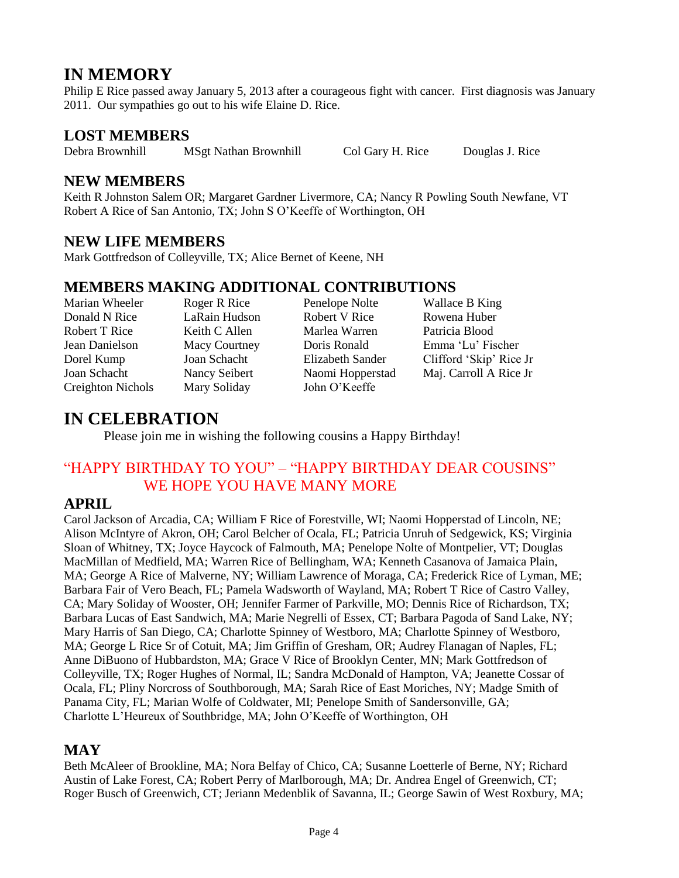# **IN MEMORY**

Philip E Rice passed away January 5, 2013 after a courageous fight with cancer. First diagnosis was January 2011. Our sympathies go out to his wife Elaine D. Rice.

## **LOST MEMBERS**

Debra Brownhill MSgt Nathan Brownhill Col Gary H. Rice Douglas J. Rice

## **NEW MEMBERS**

Keith R Johnston Salem OR; Margaret Gardner Livermore, CA; Nancy R Powling South Newfane, VT Robert A Rice of San Antonio, TX; John S O'Keeffe of Worthington, OH

## **NEW LIFE MEMBERS**

Mark Gottfredson of Colleyville, TX; Alice Bernet of Keene, NH

## **MEMBERS MAKING ADDITIONAL CONTRIBUTIONS**

Marian Wheeler Roger R Rice Penelope Nolte Wallace B King

Creighton Nichols Mary Soliday John O'Keeffe

Donald N Rice LaRain Hudson Robert V Rice Rowena Huber Robert T Rice Keith C Allen Marlea Warren Patricia Blood

Jean Danielson Macy Courtney Doris Ronald Emma 'Lu' Fischer Dorel Kump Joan Schacht Elizabeth Sander Clifford 'Skip' Rice Jr Joan Schacht Nancy Seibert Naomi Hopperstad Maj. Carroll A Rice Jr

# **IN CELEBRATION**

Please join me in wishing the following cousins a Happy Birthday!

## "HAPPY BIRTHDAY TO YOU" – "HAPPY BIRTHDAY DEAR COUSINS" WE HOPE YOU HAVE MANY MORE

## **APRIL**

Carol Jackson of Arcadia, CA; William F Rice of Forestville, WI; Naomi Hopperstad of Lincoln, NE; Alison McIntyre of Akron, OH; Carol Belcher of Ocala, FL; Patricia Unruh of Sedgewick, KS; Virginia Sloan of Whitney, TX; Joyce Haycock of Falmouth, MA; Penelope Nolte of Montpelier, VT; Douglas MacMillan of Medfield, MA; Warren Rice of Bellingham, WA; Kenneth Casanova of Jamaica Plain, MA; George A Rice of Malverne, NY; William Lawrence of Moraga, CA; Frederick Rice of Lyman, ME; Barbara Fair of Vero Beach, FL; Pamela Wadsworth of Wayland, MA; Robert T Rice of Castro Valley, CA; Mary Soliday of Wooster, OH; Jennifer Farmer of Parkville, MO; Dennis Rice of Richardson, TX; Barbara Lucas of East Sandwich, MA; Marie Negrelli of Essex, CT; Barbara Pagoda of Sand Lake, NY; Mary Harris of San Diego, CA; Charlotte Spinney of Westboro, MA; Charlotte Spinney of Westboro, MA; George L Rice Sr of Cotuit, MA; Jim Griffin of Gresham, OR; Audrey Flanagan of Naples, FL; Anne DiBuono of Hubbardston, MA; Grace V Rice of Brooklyn Center, MN; Mark Gottfredson of Colleyville, TX; Roger Hughes of Normal, IL; Sandra McDonald of Hampton, VA; Jeanette Cossar of Ocala, FL; Pliny Norcross of Southborough, MA; Sarah Rice of East Moriches, NY; Madge Smith of Panama City, FL; Marian Wolfe of Coldwater, MI; Penelope Smith of Sandersonville, GA; Charlotte L'Heureux of Southbridge, MA; John O'Keeffe of Worthington, OH

## **MAY**

Beth McAleer of Brookline, MA; Nora Belfay of Chico, CA; Susanne Loetterle of Berne, NY; Richard Austin of Lake Forest, CA; Robert Perry of Marlborough, MA; Dr. Andrea Engel of Greenwich, CT; Roger Busch of Greenwich, CT; Jeriann Medenblik of Savanna, IL; George Sawin of West Roxbury, MA;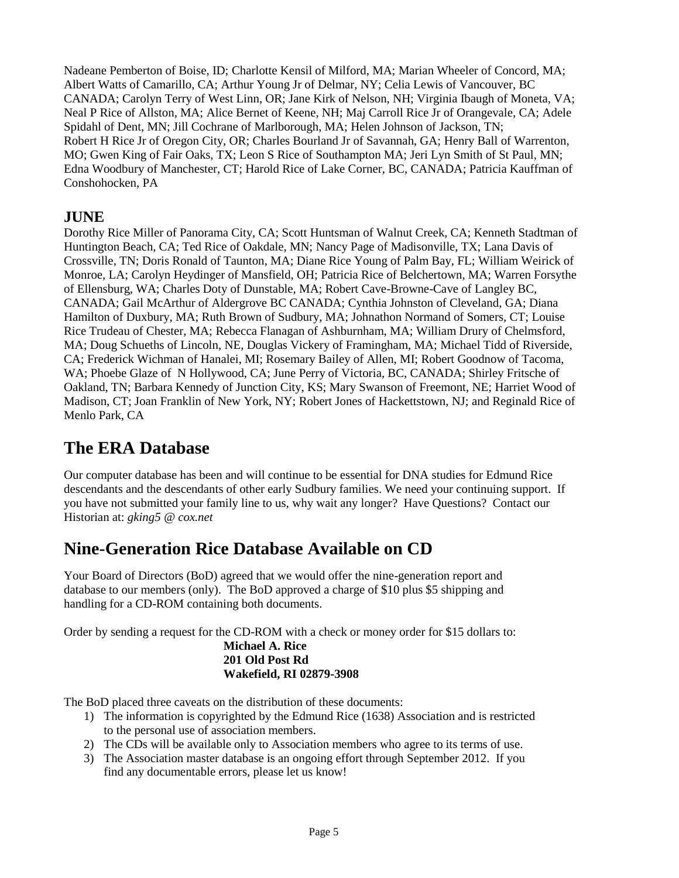Nadeane Pemberton of Boise, ID; Charlotte Kensil of Milford, MA; Marian Wheeler of Concord, MA; Albert Watts of Camarillo, CA; Arthur Young Jr of Delmar, NY; Celia Lewis of Vancouver, BC CANADA; Carolyn Terry of West Linn, OR; Jane Kirk of Nelson, NH; Virginia Ibaugh of Moneta, VA; Neal P Rice of Allston, MA; Alice Bernet of Keene, NH; Maj Carroll Rice Jr of Orangevale, CA; Adele Spidahl of Dent, MN; Jill Cochrane of Marlborough, MA; Helen Johnson of Jackson, TN; Robert H Rice Jr of Oregon City, OR; Charles Bourland Jr of Savannah, GA; Henry Ball of Warrenton, MO; Gwen King of Fair Oaks, TX; Leon S Rice of Southampton MA; Jeri Lyn Smith of St Paul, MN; Edna Woodbury of Manchester, CT; Harold Rice of Lake Corner, BC, CANADA; Patricia Kauffman of Conshohocken, PA

## **JUNE**

Dorothy Rice Miller of Panorama City, CA; Scott Huntsman of Walnut Creek, CA; Kenneth Stadtman of Huntington Beach, CA; Ted Rice of Oakdale, MN; Nancy Page of Madisonville, TX; Lana Davis of Crossville, TN; Doris Ronald of Taunton, MA; Diane Rice Young of Palm Bay, FL; William Weirick of Monroe, LA; Carolyn Heydinger of Mansfield, OH; Patricia Rice of Belchertown, MA; Warren Forsythe of Ellensburg, WA; Charles Doty of Dunstable, MA; Robert Cave-Browne-Cave of Langley BC, CANADA; Gail McArthur of Aldergrove BC CANADA; Cynthia Johnston of Cleveland, GA; Diana Hamilton of Duxbury, MA; Ruth Brown of Sudbury, MA; Johnathon Normand of Somers, CT; Louise Rice Trudeau of Chester, MA; Rebecca Flanagan of Ashburnham, MA; William Drury of Chelmsford, MA; Doug Schueths of Lincoln, NE, Douglas Vickery of Framingham, MA; Michael Tidd of Riverside, CA; Frederick Wichman of Hanalei, MI; Rosemary Bailey of Allen, MI; Robert Goodnow of Tacoma, WA; Phoebe Glaze of N Hollywood, CA; June Perry of Victoria, BC, CANADA; Shirley Fritsche of Oakland, TN; Barbara Kennedy of Junction City, KS; Mary Swanson of Freemont, NE; Harriet Wood of Madison, CT; Joan Franklin of New York, NY; Robert Jones of Hackettstown, NJ; and Reginald Rice of Menlo Park, CA

# **The ERA Database**

Our computer database has been and will continue to be essential for DNA studies for Edmund Rice descendants and the descendants of other early Sudbury families. We need your continuing support. If you have not submitted your family line to us, why wait any longer? Have Questions? Contact our Historian at: *[gking5 @ cox.net](mailto:gking5@cox.net)*

# **Nine-Generation Rice Database Available on CD**

Your Board of Directors (BoD) agreed that we would offer the nine-generation report and database to our members (only). The BoD approved a charge of \$10 plus \$5 shipping and handling for a CD-ROM containing both documents.

Order by sending a request for the CD-ROM with a check or money order for \$15 dollars to:

#### **Michael A. Rice 201 Old Post Rd Wakefield, RI 02879-3908**

The BoD placed three caveats on the distribution of these documents:

- 1) The information is copyrighted by the Edmund Rice (1638) Association and is restricted to the personal use of association members.
- 2) The CDs will be available only to Association members who agree to its terms of use.
- 3) The Association master database is an ongoing effort through September 2012. If you find any documentable errors, please let us know!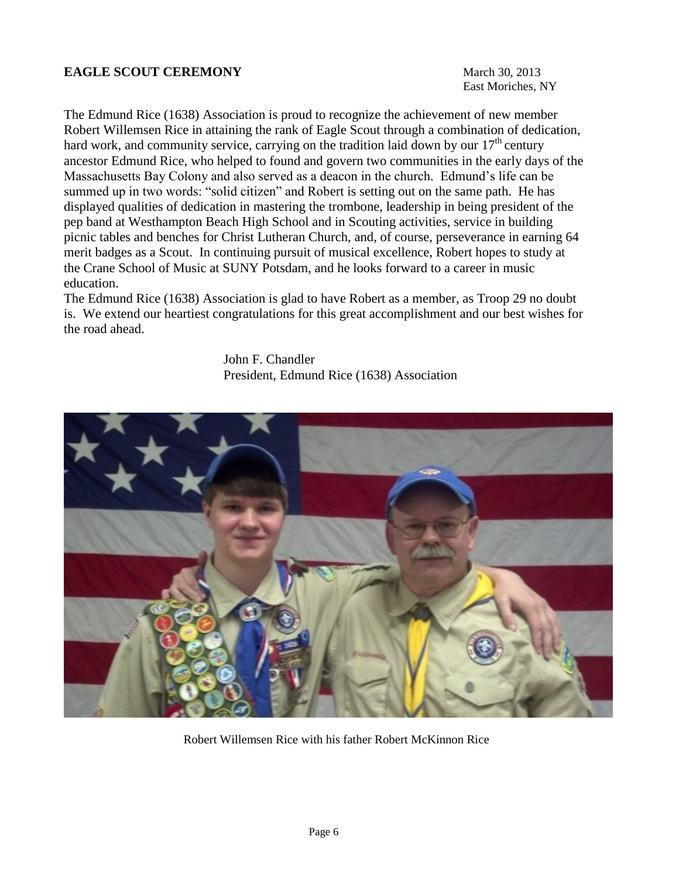#### **EAGLE SCOUT CEREMONY** March 30, 2013

East Moriches, NY

The Edmund Rice (1638) Association is proud to recognize the achievement of new member Robert Willemsen Rice in attaining the rank of Eagle Scout through a combination of dedication, hard work, and community service, carrying on the tradition laid down by our  $17<sup>th</sup>$  century ancestor Edmund Rice, who helped to found and govern two communities in the early days of the Massachusetts Bay Colony and also served as a deacon in the church. Edmund's life can be summed up in two words: "solid citizen" and Robert is setting out on the same path. He has displayed qualities of dedication in mastering the trombone, leadership in being president of the pep band at Westhampton Beach High School and in Scouting activities, service in building picnic tables and benches for Christ Lutheran Church, and, of course, perseverance in earning 64 merit badges as a Scout. In continuing pursuit of musical excellence, Robert hopes to study at the Crane School of Music at SUNY Potsdam, and he looks forward to a career in music education.

The Edmund Rice (1638) Association is glad to have Robert as a member, as Troop 29 no doubt is. We extend our heartiest congratulations for this great accomplishment and our best wishes for the road ahead.

John F. Chandler President, Edmund Rice (1638) Association



Robert Willemsen Rice with his father Robert McKinnon Rice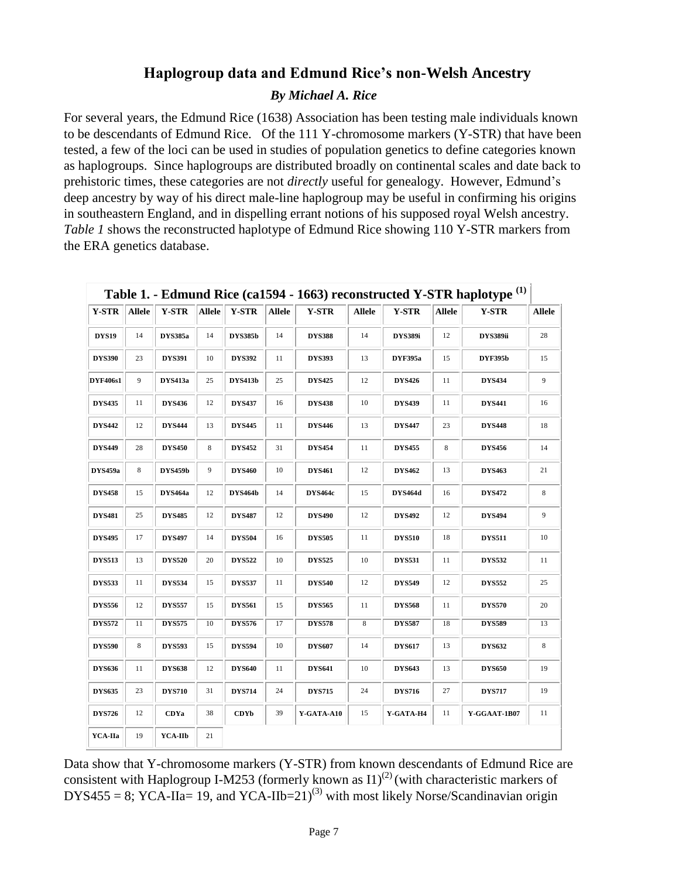## **Haplogroup data and Edmund Rice's non-Welsh Ancestry**

#### *By Michael A. Rice*

For several years, the Edmund Rice (1638) Association has been testing male individuals known to be descendants of Edmund Rice. Of the 111 Y-chromosome markers (Y-STR) that have been tested, a few of the loci can be used in studies of population genetics to define categories known as haplogroups. Since haplogroups are distributed broadly on continental scales and date back to prehistoric times, these categories are not *directly* useful for genealogy. However, Edmund's deep ancestry by way of his direct male-line haplogroup may be useful in confirming his origins in southeastern England, and in dispelling errant notions of his supposed royal Welsh ancestry. *Table 1* shows the reconstructed haplotype of Edmund Rice showing 110 Y-STR markers from the ERA genetics database.

| <b>Y-STR</b>    | <b>Allele</b> | <b>Y-STR</b>   | <b>Allele</b> | <b>Y-STR</b>   | <b>Allele</b> | <b>Y-STR</b>   | <b>Allele</b> | <b>Y-STR</b>   | <b>Allele</b> | <b>Y-STR</b>    | <b>Allele</b> |
|-----------------|---------------|----------------|---------------|----------------|---------------|----------------|---------------|----------------|---------------|-----------------|---------------|
| <b>DYS19</b>    | 14            | <b>DYS385a</b> | 14            | <b>DYS385b</b> | 14            | <b>DYS388</b>  | 14            | <b>DYS389i</b> | 12            | <b>DYS389ii</b> | 28            |
| <b>DYS390</b>   | 23            | <b>DYS391</b>  | 10            | <b>DYS392</b>  | 11            | <b>DYS393</b>  | 13            | <b>DYF395a</b> | 15            | <b>DYF395b</b>  | 15            |
| <b>DYF406s1</b> | 9             | <b>DYS413a</b> | 25            | <b>DYS413b</b> | 25            | <b>DYS425</b>  | 12            | <b>DYS426</b>  | 11            | <b>DYS434</b>   | 9             |
| <b>DYS435</b>   | 11            | <b>DYS436</b>  | 12            | <b>DYS437</b>  | 16            | <b>DYS438</b>  | 10            | <b>DYS439</b>  | 11            | <b>DYS441</b>   | 16            |
| <b>DYS442</b>   | 12            | <b>DYS444</b>  | 13            | <b>DYS445</b>  | 11            | <b>DYS446</b>  | 13            | <b>DYS447</b>  | 23            | <b>DYS448</b>   | 18            |
| <b>DYS449</b>   | 28            | <b>DYS450</b>  | 8             | <b>DYS452</b>  | 31            | <b>DYS454</b>  | 11            | <b>DYS455</b>  | 8             | <b>DYS456</b>   | 14            |
| <b>DYS459a</b>  | 8             | <b>DYS459b</b> | 9             | <b>DYS460</b>  | 10            | <b>DYS461</b>  | 12            | <b>DYS462</b>  | 13            | <b>DYS463</b>   | 21            |
| <b>DYS458</b>   | 15            | DYS464a        | 12            | <b>DYS464b</b> | 14            | <b>DYS464c</b> | 15            | <b>DYS464d</b> | 16            | <b>DYS472</b>   | $\bf 8$       |
| <b>DYS481</b>   | 25            | <b>DYS485</b>  | 12            | <b>DYS487</b>  | 12            | <b>DYS490</b>  | 12            | <b>DYS492</b>  | 12            | <b>DYS494</b>   | 9             |
| <b>DYS495</b>   | 17            | <b>DYS497</b>  | 14            | <b>DYS504</b>  | 16            | <b>DYS505</b>  | 11            | <b>DYS510</b>  | 18            | <b>DYS511</b>   | 10            |
| <b>DYS513</b>   | 13            | <b>DYS520</b>  | 20            | <b>DYS522</b>  | 10            | <b>DYS525</b>  | 10            | <b>DYS531</b>  | 11            | <b>DYS532</b>   | 11            |
| <b>DYS533</b>   | 11            | <b>DYS534</b>  | 15            | <b>DYS537</b>  | 11            | <b>DYS540</b>  | 12            | <b>DYS549</b>  | 12            | <b>DYS552</b>   | 25            |
| <b>DYS556</b>   | 12            | <b>DYS557</b>  | 15            | <b>DYS561</b>  | 15            | <b>DYS565</b>  | 11            | <b>DYS568</b>  | 11            | <b>DYS570</b>   | 20            |
| <b>DYS572</b>   | 11            | <b>DYS575</b>  | 10            | <b>DYS576</b>  | 17            | <b>DYS578</b>  | 8             | <b>DYS587</b>  | 18            | <b>DYS589</b>   | 13            |
| <b>DYS590</b>   | 8             | <b>DYS593</b>  | 15            | <b>DYS594</b>  | 10            | <b>DYS607</b>  | 14            | <b>DYS617</b>  | 13            | <b>DYS632</b>   | $\bf 8$       |
| <b>DYS636</b>   | 11            | <b>DYS638</b>  | 12            | <b>DYS640</b>  | 11            | <b>DYS641</b>  | 10            | <b>DYS643</b>  | 13            | <b>DYS650</b>   | 19            |
| <b>DYS635</b>   | 23            | <b>DYS710</b>  | 31            | <b>DYS714</b>  | 24            | <b>DYS715</b>  | 24            | <b>DYS716</b>  | 27            | <b>DYS717</b>   | 19            |
| <b>DYS726</b>   | 12            | <b>CDYa</b>    | 38            | <b>CDYb</b>    | 39            | Y-GATA-A10     | 15            | Y-GATA-H4      | 11            | Y-GGAAT-1B07    | 11            |
| YCA-IIa         | 19            | YCA-IIb        | 21            |                |               |                |               |                |               |                 |               |

 **Table 1. - Edmund Rice (ca1594 - 1663) reconstructed Y-STR haplotype (1)**

Data show that Y-chromosome markers (Y-STR) from known descendants of Edmund Rice are consistent with Haplogroup I-M253 (formerly known as  $11)^{(2)}$ ) (with characteristic markers of  $DYS455 = 8$ ;  $YCA-IIa= 19$ , and  $YCA-IIb=21$ <sup>[\(3\)](http://en.wikipedia.org/w/index.php?title=Edmund_Rice_(1638)&oldid=524743462#cite_note-69)</sup> with most likely Norse/Scandinavian origin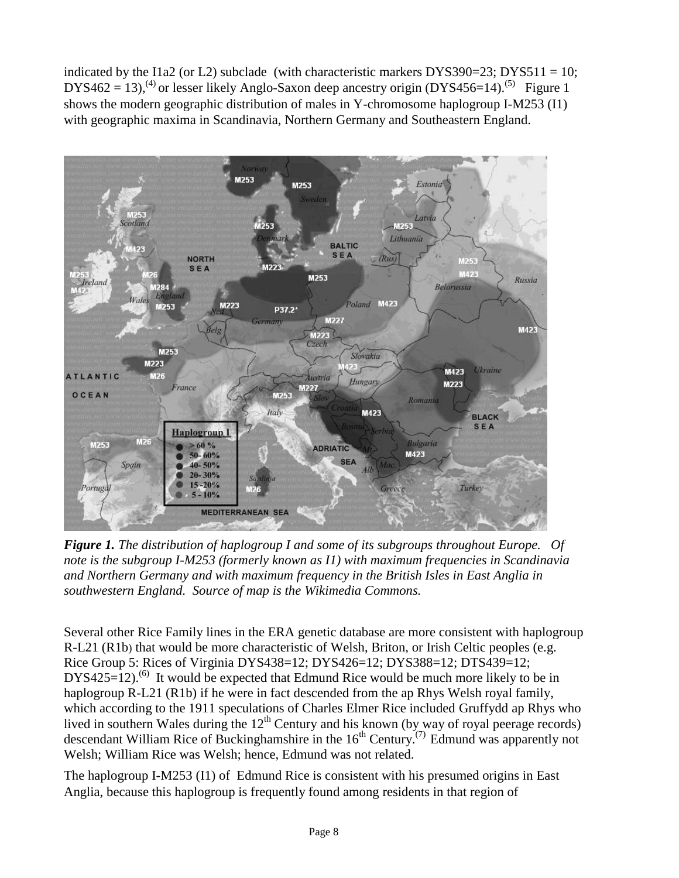indicated by the I1a2 (or L2) subclade (with characteristic markers  $DYSS90=23$ ;  $DYSS11 = 10$ ; DYS462 = 13),<sup>(4)</sup> or lesser likely [Anglo-Saxon](http://en.wikipedia.org/wiki/Anglo-Saxon) deep ancestry origin (DYS456=14).<sup>[\(5\)](http://en.wikipedia.org/w/index.php?title=Edmund_Rice_(1638)&oldid=524743462#cite_note-70)</sup> Figure 1 shows the modern geographic distribution of males in Y-chromosome haplogroup I-M253 (I1) with geographic maxima in Scandinavia, Northern Germany and Southeastern England.



*Figure 1. The distribution of haplogroup I and some of its subgroups throughout Europe. Of note is the subgroup I-M253 (formerly known as I1) with maximum frequencies in Scandinavia and Northern Germany and with maximum frequency in the British Isles in East Anglia in southwestern England. Source of map is the Wikimedia Commons.*

[Several other Rice Family lines in the ERA genetic database are more consistent with haplogroup](http://en.wikipedia.org/wiki/Haplogroup_R1b_(Y-DNA))  [R-L21 \(R1b](http://en.wikipedia.org/wiki/Haplogroup_R1b_(Y-DNA))) that would be more characteristic of [Welsh,](http://en.wikipedia.org/wiki/Welsh_people) [Briton,](http://en.wikipedia.org/wiki/Britons_(historical)) or [Irish](http://en.wikipedia.org/wiki/Irish_people) Celtic peoples (e.g. Rice Group 5: Rices of Virginia DYS438=12; DYS426=12; DYS388=12; DTS439=12;  $DYS425=12$ .<sup>(6)</sup> It would be expected that Edmund Rice would be much more likely to be in haplogroup R-L21 (R1b) if he were in fact descended from the ap Rhys Welsh royal family, which according to the 1911 speculations of Charles Elmer Rice included Gruffydd ap Rhys who lived in southern Wales during the  $12<sup>th</sup>$  Century and his known (by way of royal peerage records) descendant William Rice of Buckinghamshire in the  $16<sup>th</sup>$  Century.<sup>(7)</sup> Edmund was apparently not Welsh; William Rice was Welsh; hence, Edmund was not related.

The haplogroup I-M253 (I1) of Edmund Rice is consistent with his presumed origins in [East](http://en.wikipedia.org/wiki/East_Anglia)  [Anglia,](http://en.wikipedia.org/wiki/East_Anglia) because this haplogroup is frequently found among residents in that region of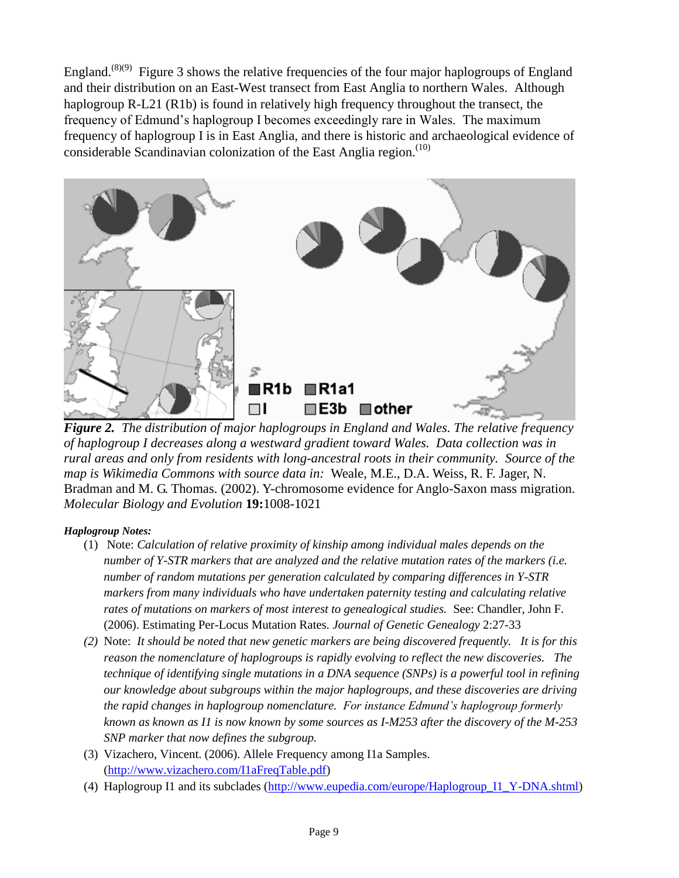England.<sup>(8)(9)</sup> Figure 3 shows the relative frequencies of the four major haplogroups of England and their distribution on an East-West transect from East Anglia to northern Wales. Although haplogroup R-L21 (R1b) is found in relatively high frequency throughout the transect, the frequency of Edmund's haplogroup I becomes exceedingly rare in Wales. The maximum frequency of haplogroup I is in East Anglia, and there is historic and archaeological evidence of considerable Scandinavian colonization of the East Anglia region.<sup>[\(10\)](http://en.wikipedia.org/w/index.php?title=Edmund_Rice_(1638)&oldid=524743462#cite_note-73)</sup>



*Figure 2. The distribution of major haplogroups in England and Wales. The relative frequency of haplogroup I decreases along a westward gradient toward Wales. Data collection was in rural areas and only from residents with long-ancestral roots in their community. Source of the map is Wikimedia Commons with source data in:* Weale, M.E., D.A. Weiss, R. F. Jager, N. Bradman and M. G. Thomas. (2002). Y-chromosome evidence for Anglo-Saxon mass migration. *Molecular Biology and Evolution* **19:**1008-1021

#### *Haplogroup Notes:*

- (1) Note: *Calculation of relative proximity of kinship among individual males depends on the number of Y-STR markers that are analyzed and the relative mutation rates of the markers (i.e. number of random mutations per generation calculated by comparing differences in Y-STR markers from many individuals who have undertaken paternity testing and calculating relative rates of mutations on markers of most interest to genealogical studies.* See: Chandler, John F. (2006). Estimating Per-Locus Mutation Rates. *Journal of Genetic Genealogy* 2:27-33
- *(2)* Note: *It should be noted that new genetic markers are being discovered frequently. It is for this reason the nomenclature of haplogroups is rapidly evolving to reflect the new discoveries. The technique of identifying single mutations in a DNA sequence (SNPs) is a powerful tool in refining our knowledge about subgroups within the major haplogroups, and these discoveries are driving the rapid changes in haplogroup nomenclature. For instance Edmund's haplogroup formerly known as known as I1 is now known by some sources as I-M253 after the discovery of the M-253 SNP marker that now defines the subgroup.*
- (3) Vizachero, Vincent. (2006). Allele Frequency among I1a Samples. [\(http://www.vizachero.com/I1aFreqTable.pdf\)](http://www.vizachero.com/I1aFreqTable.pdf)
- (4) Haplogroup I1 and its subclades [\(http://www.eupedia.com/europe/Haplogroup\\_I1\\_Y-DNA.shtml\)](http://www.eupedia.com/europe/Haplogroup_I1_Y-DNA.shtml)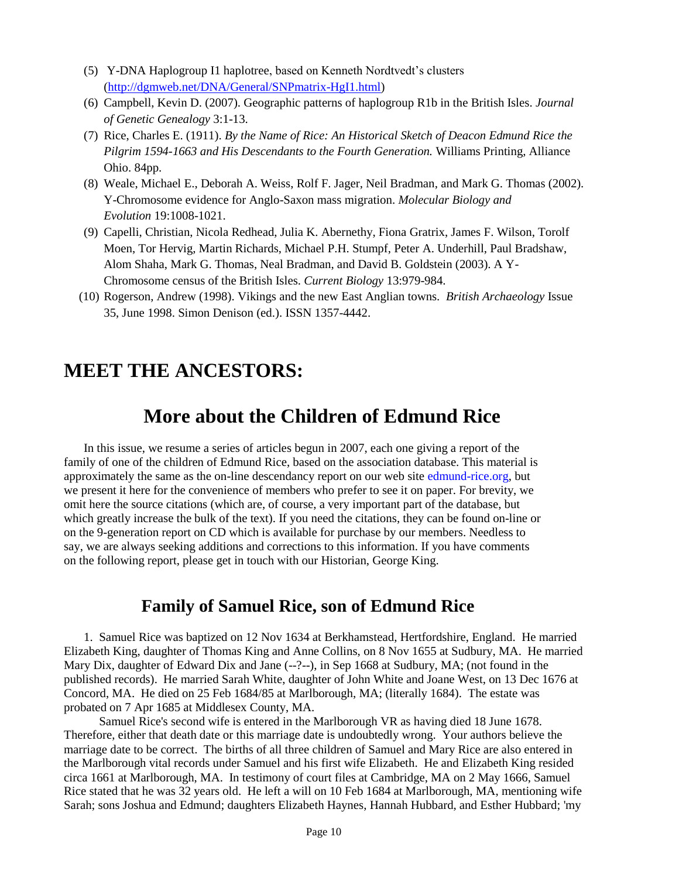- (5) Y-DNA Haplogroup I1 haplotree, based on Kenneth Nordtvedt's clusters [\(http://dgmweb.net/DNA/General/SNPmatrix-HgI1.html\)](http://dgmweb.net/DNA/General/SNPmatrix-HgI1.html)
- (6) Campbell, Kevin D. (2007). Geographic patterns of haplogroup R1b in the British Isles. *Journal of Genetic Genealogy* 3:1-13.
- (7) Rice, Charles E. (1911). *By the Name of Rice: An Historical Sketch of Deacon Edmund Rice the Pilgrim 1594-1663 and His Descendants to the Fourth Generation.* Williams Printing, Alliance Ohio. 84pp.
- (8) Weale, Michael E., Deborah A. Weiss, Rolf F. Jager, Neil Bradman, and Mark G. Thomas (2002). Y-Chromosome evidence for Anglo-Saxon mass migration. *Molecular Biology and Evolution* 19:1008-1021.
- (9) Capelli, Christian, Nicola Redhead, Julia K. Abernethy, Fiona Gratrix, James F. Wilson, Torolf Moen, Tor Hervig, Martin Richards, Michael P.H. Stumpf, Peter A. Underhill, Paul Bradshaw, Alom Shaha, Mark G. Thomas, Neal Bradman, and David B. Goldstein (2003). A Y-Chromosome census of the British Isles. *Current Biology* 13:979-984.
- (10) Rogerson, Andrew (1998). Vikings and the new East Anglian towns. *British Archaeology* Issue 35, June 1998. Simon Denison (ed.). ISSN 1357-4442.

# **MEET THE ANCESTORS:**

# **More about the Children of Edmund Rice**

In this issue, we resume a series of articles begun in 2007, each one giving a report of the family of one of the children of Edmund Rice, based on the association database. This material is approximately the same as the on-line descendancy report on our web site edmund-rice.org, but we present it here for the convenience of members who prefer to see it on paper. For brevity, we omit here the source citations (which are, of course, a very important part of the database, but which greatly increase the bulk of the text). If you need the citations, they can be found on-line or on the 9-generation report on CD which is available for purchase by our members. Needless to say, we are always seeking additions and corrections to this information. If you have comments on the following report, please get in touch with our Historian, George King.

## **Family of Samuel Rice, son of Edmund Rice**

1. Samuel Rice was baptized on 12 Nov 1634 at Berkhamstead, Hertfordshire, England. He married Elizabeth King, daughter of Thomas King and Anne Collins, on 8 Nov 1655 at Sudbury, MA. He married Mary Dix, daughter of Edward Dix and Jane (--?--), in Sep 1668 at Sudbury, MA; (not found in the published records). He married Sarah White, daughter of John White and Joane West, on 13 Dec 1676 at Concord, MA. He died on 25 Feb 1684/85 at Marlborough, MA; (literally 1684). The estate was probated on 7 Apr 1685 at Middlesex County, MA.

 Samuel Rice's second wife is entered in the Marlborough VR as having died 18 June 1678. Therefore, either that death date or this marriage date is undoubtedly wrong. Your authors believe the marriage date to be correct. The births of all three children of Samuel and Mary Rice are also entered in the Marlborough vital records under Samuel and his first wife Elizabeth. He and Elizabeth King resided circa 1661 at Marlborough, MA. In testimony of court files at Cambridge, MA on 2 May 1666, Samuel Rice stated that he was 32 years old. He left a will on 10 Feb 1684 at Marlborough, MA, mentioning wife Sarah; sons Joshua and Edmund; daughters Elizabeth Haynes, Hannah Hubbard, and Esther Hubbard; 'my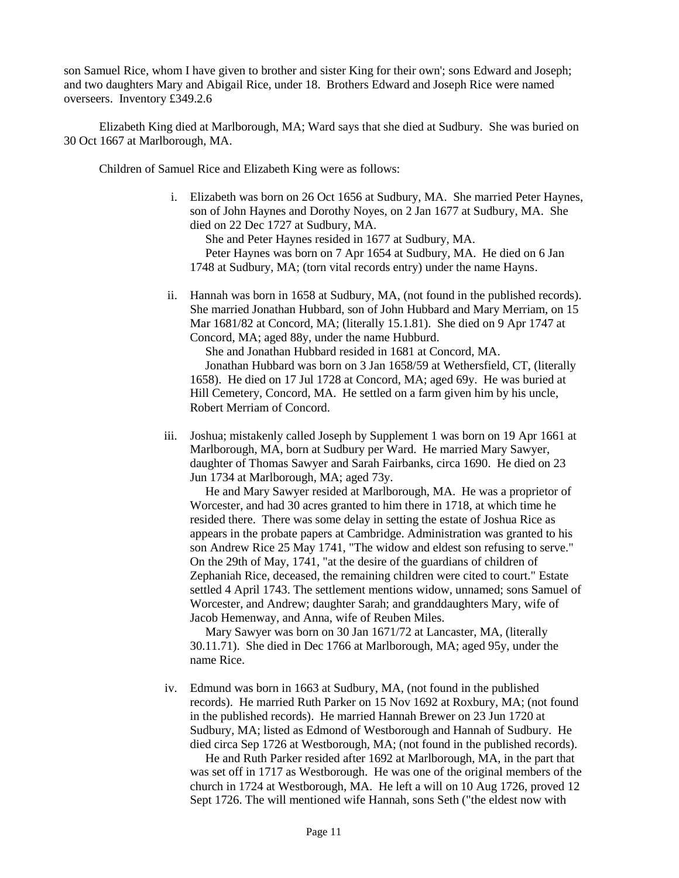son Samuel Rice, whom I have given to brother and sister King for their own'; sons Edward and Joseph; and two daughters Mary and Abigail Rice, under 18. Brothers Edward and Joseph Rice were named overseers. Inventory £349.2.6

 Elizabeth King died at Marlborough, MA; Ward says that she died at Sudbury. She was buried on 30 Oct 1667 at Marlborough, MA.

Children of Samuel Rice and Elizabeth King were as follows:

i. Elizabeth was born on 26 Oct 1656 at Sudbury, MA. She married Peter Haynes, son of John Haynes and Dorothy Noyes, on 2 Jan 1677 at Sudbury, MA. She died on 22 Dec 1727 at Sudbury, MA.

 She and Peter Haynes resided in 1677 at Sudbury, MA. Peter Haynes was born on 7 Apr 1654 at Sudbury, MA. He died on 6 Jan 1748 at Sudbury, MA; (torn vital records entry) under the name Hayns.

ii. Hannah was born in 1658 at Sudbury, MA, (not found in the published records). She married Jonathan Hubbard, son of John Hubbard and Mary Merriam, on 15 Mar 1681/82 at Concord, MA; (literally 15.1.81). She died on 9 Apr 1747 at Concord, MA; aged 88y, under the name Hubburd.

She and Jonathan Hubbard resided in 1681 at Concord, MA.

 Jonathan Hubbard was born on 3 Jan 1658/59 at Wethersfield, CT, (literally 1658). He died on 17 Jul 1728 at Concord, MA; aged 69y. He was buried at Hill Cemetery, Concord, MA. He settled on a farm given him by his uncle, Robert Merriam of Concord.

iii. Joshua; mistakenly called Joseph by Supplement 1 was born on 19 Apr 1661 at Marlborough, MA, born at Sudbury per Ward. He married Mary Sawyer, daughter of Thomas Sawyer and Sarah Fairbanks, circa 1690. He died on 23 Jun 1734 at Marlborough, MA; aged 73y.

 He and Mary Sawyer resided at Marlborough, MA. He was a proprietor of Worcester, and had 30 acres granted to him there in 1718, at which time he resided there. There was some delay in setting the estate of Joshua Rice as appears in the probate papers at Cambridge. Administration was granted to his son Andrew Rice 25 May 1741, "The widow and eldest son refusing to serve." On the 29th of May, 1741, "at the desire of the guardians of children of Zephaniah Rice, deceased, the remaining children were cited to court." Estate settled 4 April 1743. The settlement mentions widow, unnamed; sons Samuel of Worcester, and Andrew; daughter Sarah; and granddaughters Mary, wife of Jacob Hemenway, and Anna, wife of Reuben Miles.

 Mary Sawyer was born on 30 Jan 1671/72 at Lancaster, MA, (literally 30.11.71). She died in Dec 1766 at Marlborough, MA; aged 95y, under the name Rice.

iv. Edmund was born in 1663 at Sudbury, MA, (not found in the published records). He married Ruth Parker on 15 Nov 1692 at Roxbury, MA; (not found in the published records). He married Hannah Brewer on 23 Jun 1720 at Sudbury, MA; listed as Edmond of Westborough and Hannah of Sudbury. He died circa Sep 1726 at Westborough, MA; (not found in the published records).

 He and Ruth Parker resided after 1692 at Marlborough, MA, in the part that was set off in 1717 as Westborough. He was one of the original members of the church in 1724 at Westborough, MA. He left a will on 10 Aug 1726, proved 12 Sept 1726. The will mentioned wife Hannah, sons Seth ("the eldest now with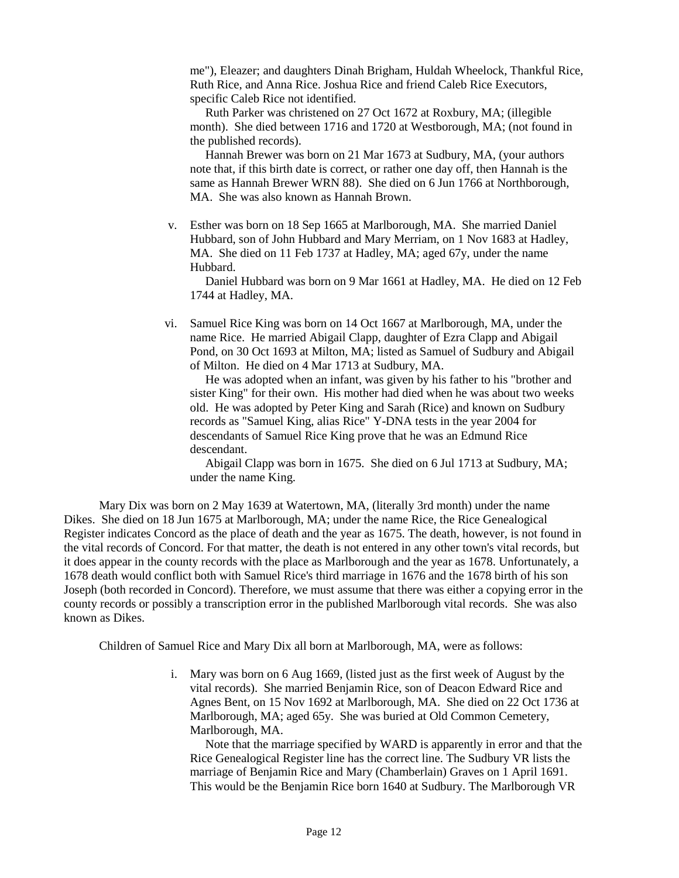me"), Eleazer; and daughters Dinah Brigham, Huldah Wheelock, Thankful Rice, Ruth Rice, and Anna Rice. Joshua Rice and friend Caleb Rice Executors, specific Caleb Rice not identified.

 Ruth Parker was christened on 27 Oct 1672 at Roxbury, MA; (illegible month). She died between 1716 and 1720 at Westborough, MA; (not found in the published records).

 Hannah Brewer was born on 21 Mar 1673 at Sudbury, MA, (your authors note that, if this birth date is correct, or rather one day off, then Hannah is the same as Hannah Brewer WRN 88). She died on 6 Jun 1766 at Northborough, MA. She was also known as Hannah Brown.

v. Esther was born on 18 Sep 1665 at Marlborough, MA. She married Daniel Hubbard, son of John Hubbard and Mary Merriam, on 1 Nov 1683 at Hadley, MA. She died on 11 Feb 1737 at Hadley, MA; aged 67y, under the name Hubbard.

 Daniel Hubbard was born on 9 Mar 1661 at Hadley, MA. He died on 12 Feb 1744 at Hadley, MA.

vi. Samuel Rice King was born on 14 Oct 1667 at Marlborough, MA, under the name Rice. He married Abigail Clapp, daughter of Ezra Clapp and Abigail Pond, on 30 Oct 1693 at Milton, MA; listed as Samuel of Sudbury and Abigail of Milton. He died on 4 Mar 1713 at Sudbury, MA.

 He was adopted when an infant, was given by his father to his "brother and sister King" for their own. His mother had died when he was about two weeks old. He was adopted by Peter King and Sarah (Rice) and known on Sudbury records as "Samuel King, alias Rice" Y-DNA tests in the year 2004 for descendants of Samuel Rice King prove that he was an Edmund Rice descendant.

 Abigail Clapp was born in 1675. She died on 6 Jul 1713 at Sudbury, MA; under the name King.

 Mary Dix was born on 2 May 1639 at Watertown, MA, (literally 3rd month) under the name Dikes. She died on 18 Jun 1675 at Marlborough, MA; under the name Rice, the Rice Genealogical Register indicates Concord as the place of death and the year as 1675. The death, however, is not found in the vital records of Concord. For that matter, the death is not entered in any other town's vital records, but it does appear in the county records with the place as Marlborough and the year as 1678. Unfortunately, a 1678 death would conflict both with Samuel Rice's third marriage in 1676 and the 1678 birth of his son Joseph (both recorded in Concord). Therefore, we must assume that there was either a copying error in the county records or possibly a transcription error in the published Marlborough vital records. She was also known as Dikes.

Children of Samuel Rice and Mary Dix all born at Marlborough, MA, were as follows:

i. Mary was born on 6 Aug 1669, (listed just as the first week of August by the vital records). She married Benjamin Rice, son of Deacon Edward Rice and Agnes Bent, on 15 Nov 1692 at Marlborough, MA. She died on 22 Oct 1736 at Marlborough, MA; aged 65y. She was buried at Old Common Cemetery, Marlborough, MA.

 Note that the marriage specified by WARD is apparently in error and that the Rice Genealogical Register line has the correct line. The Sudbury VR lists the marriage of Benjamin Rice and Mary (Chamberlain) Graves on 1 April 1691. This would be the Benjamin Rice born 1640 at Sudbury. The Marlborough VR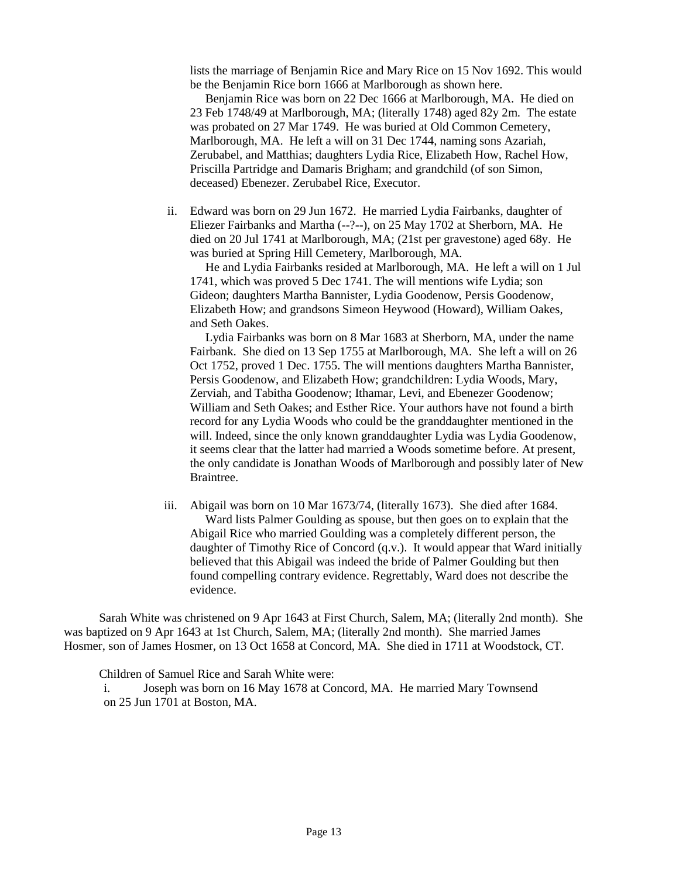lists the marriage of Benjamin Rice and Mary Rice on 15 Nov 1692. This would be the Benjamin Rice born 1666 at Marlborough as shown here.

 Benjamin Rice was born on 22 Dec 1666 at Marlborough, MA. He died on 23 Feb 1748/49 at Marlborough, MA; (literally 1748) aged 82y 2m. The estate was probated on 27 Mar 1749. He was buried at Old Common Cemetery, Marlborough, MA. He left a will on 31 Dec 1744, naming sons Azariah, Zerubabel, and Matthias; daughters Lydia Rice, Elizabeth How, Rachel How, Priscilla Partridge and Damaris Brigham; and grandchild (of son Simon, deceased) Ebenezer. Zerubabel Rice, Executor.

ii. Edward was born on 29 Jun 1672. He married Lydia Fairbanks, daughter of Eliezer Fairbanks and Martha (--?--), on 25 May 1702 at Sherborn, MA. He died on 20 Jul 1741 at Marlborough, MA; (21st per gravestone) aged 68y. He was buried at Spring Hill Cemetery, Marlborough, MA.

 He and Lydia Fairbanks resided at Marlborough, MA. He left a will on 1 Jul 1741, which was proved 5 Dec 1741. The will mentions wife Lydia; son Gideon; daughters Martha Bannister, Lydia Goodenow, Persis Goodenow, Elizabeth How; and grandsons Simeon Heywood (Howard), William Oakes, and Seth Oakes.

 Lydia Fairbanks was born on 8 Mar 1683 at Sherborn, MA, under the name Fairbank. She died on 13 Sep 1755 at Marlborough, MA. She left a will on 26 Oct 1752, proved 1 Dec. 1755. The will mentions daughters Martha Bannister, Persis Goodenow, and Elizabeth How; grandchildren: Lydia Woods, Mary, Zerviah, and Tabitha Goodenow; Ithamar, Levi, and Ebenezer Goodenow; William and Seth Oakes; and Esther Rice. Your authors have not found a birth record for any Lydia Woods who could be the granddaughter mentioned in the will. Indeed, since the only known granddaughter Lydia was Lydia Goodenow, it seems clear that the latter had married a Woods sometime before. At present, the only candidate is Jonathan Woods of Marlborough and possibly later of New Braintree.

iii. Abigail was born on 10 Mar 1673/74, (literally 1673). She died after 1684. Ward lists Palmer Goulding as spouse, but then goes on to explain that the Abigail Rice who married Goulding was a completely different person, the daughter of Timothy Rice of Concord (q.v.). It would appear that Ward initially believed that this Abigail was indeed the bride of Palmer Goulding but then found compelling contrary evidence. Regrettably, Ward does not describe the evidence.

 Sarah White was christened on 9 Apr 1643 at First Church, Salem, MA; (literally 2nd month). She was baptized on 9 Apr 1643 at 1st Church, Salem, MA; (literally 2nd month). She married James Hosmer, son of James Hosmer, on 13 Oct 1658 at Concord, MA. She died in 1711 at Woodstock, CT.

Children of Samuel Rice and Sarah White were:

i. Joseph was born on 16 May 1678 at Concord, MA. He married Mary Townsend on 25 Jun 1701 at Boston, MA.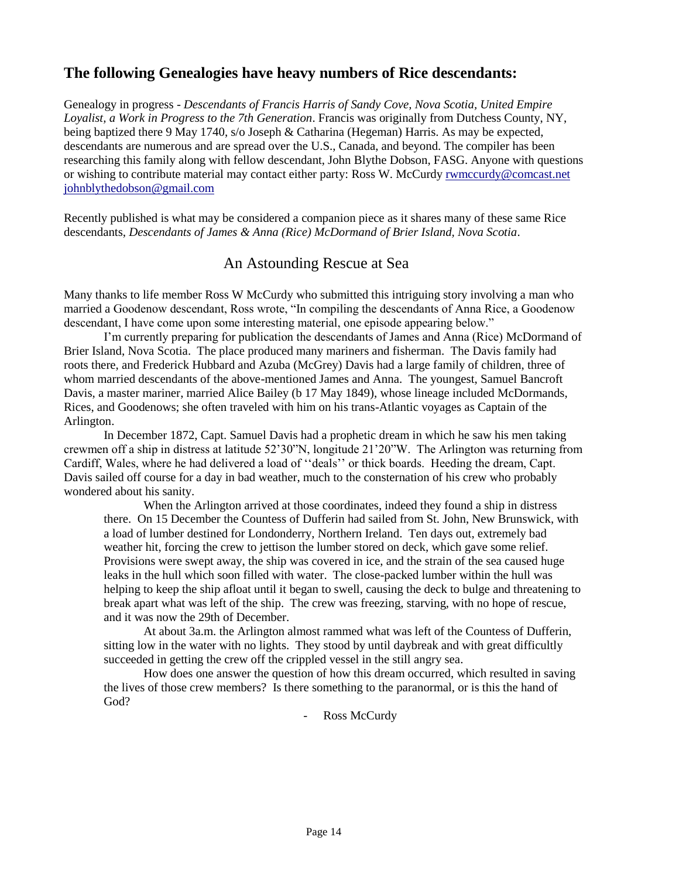## **The following Genealogies have heavy numbers of Rice descendants:**

Genealogy in progress - *Descendants of Francis Harris of Sandy Cove, Nova Scotia, United Empire Loyalist, a Work in Progress to the 7th Generation*. Francis was originally from Dutchess County, NY, being baptized there 9 May 1740, s/o Joseph & Catharina (Hegeman) Harris. As may be expected, descendants are numerous and are spread over the U.S., Canada, and beyond. The compiler has been researching this family along with fellow descendant, John Blythe Dobson, FASG. Anyone with questions or wishing to contribute material may contact either party: Ross W. McCurdy [rwmccurdy@comcast.net](mailto:rwmccurdy@comcast.net) [johnblythedobson@gmail.com](mailto:johnblythedobson@gmail.com)

Recently published is what may be considered a companion piece as it shares many of these same Rice descendants, *Descendants of James & Anna (Rice) McDormand of Brier Island, Nova Scotia*.

## An Astounding Rescue at Sea

Many thanks to life member Ross W McCurdy who submitted this intriguing story involving a man who married a Goodenow descendant, Ross wrote, "In compiling the descendants of Anna Rice, a Goodenow descendant, I have come upon some interesting material, one episode appearing below."

I'm currently preparing for publication the descendants of James and Anna (Rice) McDormand of Brier Island, Nova Scotia. The place produced many mariners and fisherman. The Davis family had roots there, and Frederick Hubbard and Azuba (McGrey) Davis had a large family of children, three of whom married descendants of the above-mentioned James and Anna. The youngest, Samuel Bancroft Davis, a master mariner, married Alice Bailey (b 17 May 1849), whose lineage included McDormands, Rices, and Goodenows; she often traveled with him on his trans-Atlantic voyages as Captain of the Arlington.

In December 1872, Capt. Samuel Davis had a prophetic dream in which he saw his men taking crewmen off a ship in distress at latitude 52'30"N, longitude 21'20"W. The Arlington was returning from Cardiff, Wales, where he had delivered a load of ''deals'' or thick boards. Heeding the dream, Capt. Davis sailed off course for a day in bad weather, much to the consternation of his crew who probably wondered about his sanity.

When the Arlington arrived at those coordinates, indeed they found a ship in distress there. On 15 December the Countess of Dufferin had sailed from St. John, New Brunswick, with a load of lumber destined for Londonderry, Northern Ireland. Ten days out, extremely bad weather hit, forcing the crew to jettison the lumber stored on deck, which gave some relief. Provisions were swept away, the ship was covered in ice, and the strain of the sea caused huge leaks in the hull which soon filled with water. The close-packed lumber within the hull was helping to keep the ship afloat until it began to swell, causing the deck to bulge and threatening to break apart what was left of the ship. The crew was freezing, starving, with no hope of rescue, and it was now the 29th of December.

At about 3a.m. the Arlington almost rammed what was left of the Countess of Dufferin, sitting low in the water with no lights. They stood by until daybreak and with great difficultly succeeded in getting the crew off the crippled vessel in the still angry sea.

How does one answer the question of how this dream occurred, which resulted in saving the lives of those crew members? Is there something to the paranormal, or is this the hand of God?

- Ross McCurdy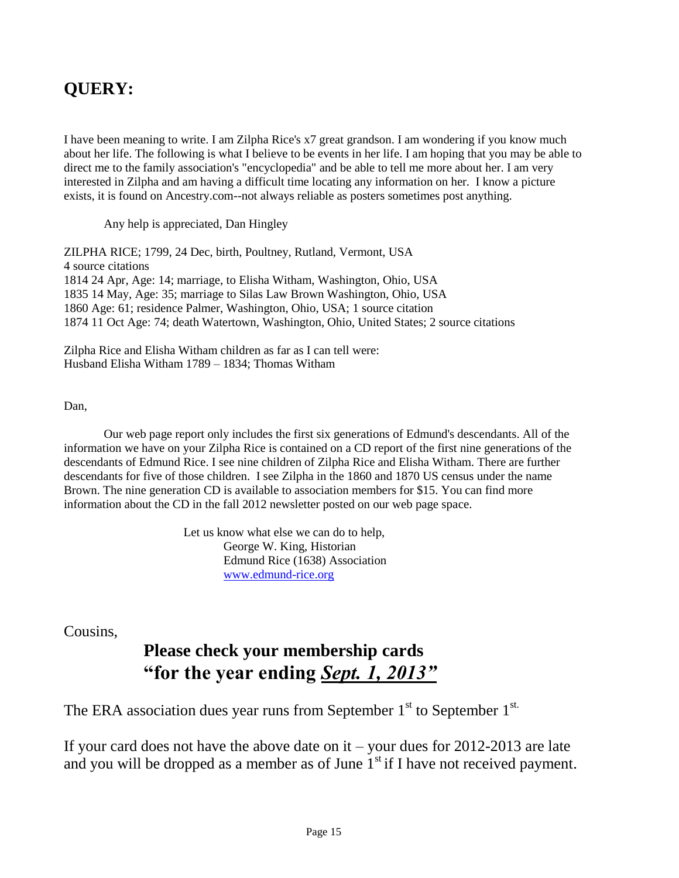# **QUERY:**

I have been meaning to write. I am Zilpha Rice's x7 great grandson. I am wondering if you know much about her life. The following is what I believe to be events in her life. I am hoping that you may be able to direct me to the family association's "encyclopedia" and be able to tell me more about her. I am very interested in Zilpha and am having a difficult time locating any information on her. I know a picture exists, it is found on Ancestry.com--not always reliable as posters sometimes post anything.

Any help is appreciated, Dan Hingley

ZILPHA RICE; 1799, 24 Dec, birth, Poultney, Rutland, Vermont, USA 4 source citations 1814 24 Apr, Age: 14; marriage, to Elisha Witham, Washington, Ohio, USA 1835 14 May, Age: 35; marriage to Silas Law Brown Washington, Ohio, USA 1860 Age: 61; residence Palmer, Washington, Ohio, USA; 1 source citation 1874 11 Oct Age: 74; death Watertown, Washington, Ohio, United States; 2 source citations

Zilpha Rice and Elisha Witham children as far as I can tell were: Husband Elisha Witham 1789 – 1834; Thomas Witham

#### Dan,

Our web page report only includes the first six generations of Edmund's descendants. All of the information we have on your Zilpha Rice is contained on a CD report of the first nine generations of the descendants of Edmund Rice. I see nine children of Zilpha Rice and Elisha Witham. There are further descendants for five of those children. I see Zilpha in the 1860 and 1870 US census under the name Brown. The nine generation CD is available to association members for \$15. You can find more information about the CD in the fall 2012 newsletter posted on our web page space.

> Let us know what else we can do to help, George W. King, Historian Edmund Rice (1638) Association [www.edmund-rice.org](http://www.edmund-rice.org/)

Cousins,

# **Please check your membership cards "for the year ending** *Sept. 1, 2013"*

The ERA association dues year runs from September  $1<sup>st</sup>$  to September  $1<sup>st</sup>$ .

If your card does not have the above date on it – your dues for 2012-2013 are late and you will be dropped as a member as of June  $1<sup>st</sup>$  if I have not received payment.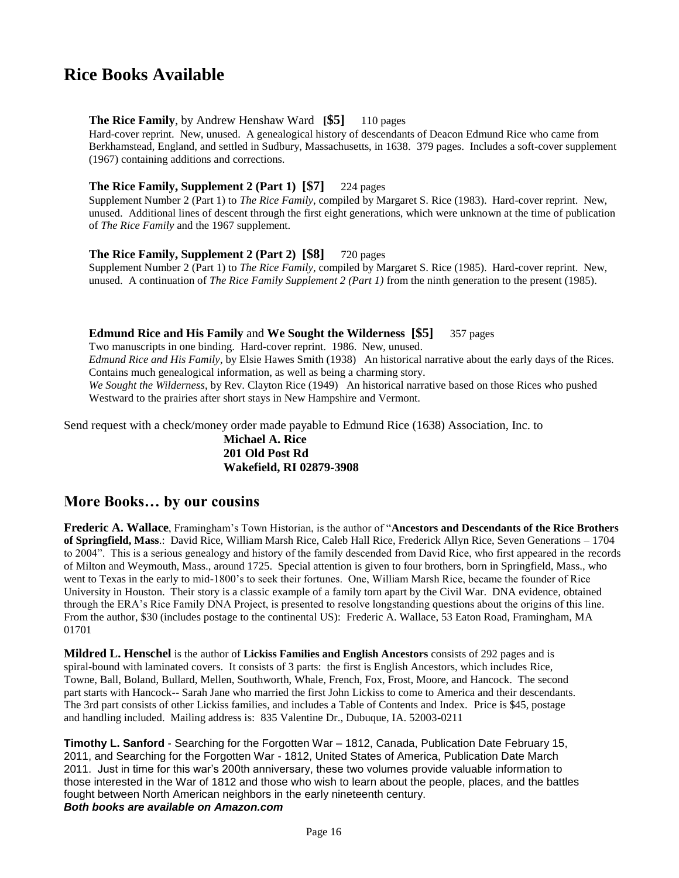# **Rice Books Available**

#### **The Rice Family**, by Andrew Henshaw Ward **[\$5]** 110 pages

Hard-cover reprint. New, unused. A genealogical history of descendants of Deacon Edmund Rice who came from Berkhamstead, England, and settled in Sudbury, Massachusetts, in 1638. 379 pages. Includes a soft-cover supplement (1967) containing additions and corrections.

#### **The Rice Family, Supplement 2 (Part 1) [\$7]** 224 pages

Supplement Number 2 (Part 1) to *The Rice Family*, compiled by Margaret S. Rice (1983). Hard-cover reprint. New, unused. Additional lines of descent through the first eight generations, which were unknown at the time of publication of *The Rice Family* and the 1967 supplement.

#### **The Rice Family, Supplement 2 (Part 2) [\$8]** 720 pages

Supplement Number 2 (Part 1) to *The Rice Family*, compiled by Margaret S. Rice (1985). Hard-cover reprint. New, unused. A continuation of *The Rice Family Supplement 2 (Part 1)* from the ninth generation to the present (1985).

#### **Edmund Rice and His Family** and **We Sought the Wilderness [\$5]** 357 pages

Two manuscripts in one binding. Hard-cover reprint. 1986. New, unused. *Edmund Rice and His Family*, by Elsie Hawes Smith (1938) An historical narrative about the early days of the Rices. Contains much genealogical information, as well as being a charming story. *We Sought the Wilderness*, by Rev. Clayton Rice (1949) An historical narrative based on those Rices who pushed Westward to the prairies after short stays in New Hampshire and Vermont.

Send request with a check/money order made payable to Edmund Rice (1638) Association, Inc. to

#### **Michael A. Rice 201 Old Post Rd Wakefield, RI 02879-3908**

## **More Books… by our cousins**

**Frederic A. Wallace**, Framingham's Town Historian, is the author of "**Ancestors and Descendants of the Rice Brothers of Springfield, Mass**.: David Rice, William Marsh Rice, Caleb Hall Rice, Frederick Allyn Rice, Seven Generations – 1704 to 2004". This is a serious genealogy and history of the family descended from David Rice, who first appeared in the records of Milton and Weymouth, Mass., around 1725. Special attention is given to four brothers, born in Springfield, Mass., who went to Texas in the early to mid-1800's to seek their fortunes. One, William Marsh Rice, became the founder of Rice University in Houston. Their story is a classic example of a family torn apart by the Civil War. DNA evidence, obtained through the ERA's Rice Family DNA Project, is presented to resolve longstanding questions about the origins of this line. From the author, \$30 (includes postage to the continental US): Frederic A. Wallace, 53 Eaton Road, Framingham, MA 01701

**Mildred L. Henschel** is the author of **Lickiss Families and English Ancestors** consists of 292 pages and is spiral-bound with laminated covers. It consists of 3 parts: the first is English Ancestors, which includes Rice, Towne, Ball, Boland, Bullard, Mellen, Southworth, Whale, French, Fox, Frost, Moore, and Hancock. The second part starts with Hancock-- Sarah Jane who married the first John Lickiss to come to America and their descendants. The 3rd part consists of other Lickiss families, and includes a Table of Contents and Index. Price is \$45, postage and handling included. Mailing address is: 835 Valentine Dr., Dubuque, IA. 52003-0211

**Timothy L. Sanford** - Searching for the Forgotten War – 1812, Canada, Publication Date February 15, 2011, and Searching for the Forgotten War - 1812, United States of America, Publication Date March 2011. Just in time for this war's 200th anniversary, these two volumes provide valuable information to those interested in the War of 1812 and those who wish to learn about the people, places, and the battles fought between North American neighbors in the early nineteenth century. *Both books are available on Amazon.com*